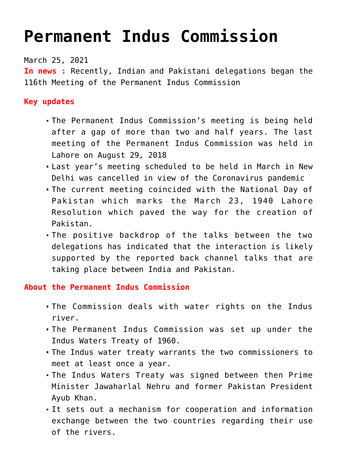## **[Permanent Indus Commission](https://journalsofindia.com/permanent-indus-commission/)**

March 25, 2021

**In news :** Recently, Indian and Pakistani delegations began the 116th Meeting of the Permanent Indus Commission

**Key updates** 

- The Permanent Indus Commission's meeting is being held after a gap of more than two and half years. The last meeting of the Permanent Indus Commission was held in Lahore on August 29, 2018
- Last year's meeting scheduled to be held in March in New Delhi was cancelled in view of the Coronavirus pandemic
- The current meeting coincided with the National Day of Pakistan which marks the March 23, 1940 Lahore Resolution which paved the way for the creation of Pakistan.
- The positive backdrop of the talks between the two delegations has indicated that the interaction is likely supported by the reported back channel talks that are taking place between India and Pakistan.

**About the Permanent Indus Commission** 

- The Commission deals with water rights on the Indus river.
- The Permanent Indus Commission was set up under the Indus Waters Treaty of 1960.
- The Indus water treaty warrants the two commissioners to meet at least once a year.
- The Indus Waters Treaty was signed between then Prime Minister Jawaharlal Nehru and former Pakistan President Ayub Khan.
- It sets out a mechanism for cooperation and information exchange between the two countries regarding their use of the rivers.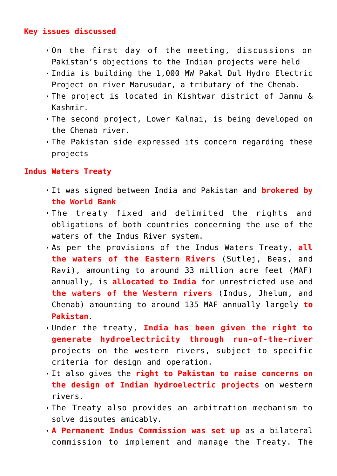## **Key issues discussed**

- On the first day of the meeting, discussions on Pakistan's objections to the Indian projects were held
- India is building the 1,000 MW Pakal Dul Hydro Electric Project on river Marusudar, a tributary of the Chenab.
- The project is located in Kishtwar district of Jammu & Kashmir.
- The second project, Lower Kalnai, is being developed on the Chenab river.
- The Pakistan side expressed its concern regarding these projects

## **Indus Waters Treaty**

- It was signed between India and Pakistan and **brokered by the World Bank**
- The treaty fixed and delimited the rights and obligations of both countries concerning the use of the waters of the Indus River system.
- As per the provisions of the Indus Waters Treaty, **all the waters of the Eastern Rivers** (Sutlej, Beas, and Ravi), amounting to around 33 million acre feet (MAF) annually, is **allocated to India** for unrestricted use and **the waters of the Western rivers** (Indus, Jhelum, and Chenab) amounting to around 135 MAF annually largely **to Pakistan**.
- Under the treaty, **India has been given the right to generate hydroelectricity through run-of-the-river** projects on the western rivers, subject to specific criteria for design and operation.
- It also gives the **right to Pakistan to raise concerns on the design of Indian hydroelectric projects** on western rivers.
- The Treaty also provides an arbitration mechanism to solve disputes amicably.
- **A Permanent Indus Commission was set up** as a bilateral commission to implement and manage the Treaty. The